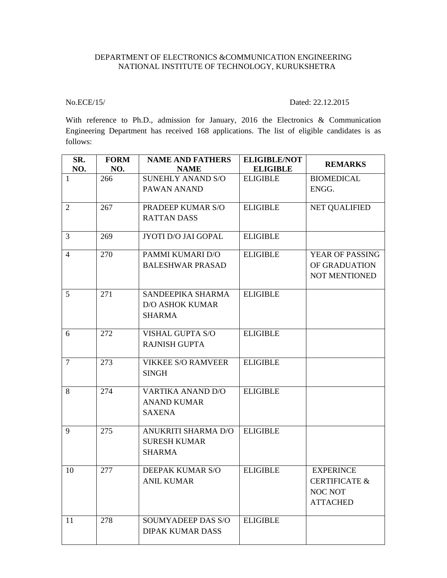## DEPARTMENT OF ELECTRONICS &COMMUNICATION ENGINEERING NATIONAL INSTITUTE OF TECHNOLOGY, KURUKSHETRA

## No.ECE/15/ Dated: 22.12.2015

With reference to Ph.D., admission for January, 2016 the Electronics & Communication Engineering Department has received 168 applications. The list of eligible candidates is as follows:

| SR.<br>NO.     | <b>FORM</b><br>NO. | <b>NAME AND FATHERS</b><br><b>NAME</b> | <b>ELIGIBLE/NOT</b><br><b>ELIGIBLE</b> | <b>REMARKS</b>           |
|----------------|--------------------|----------------------------------------|----------------------------------------|--------------------------|
| 1              | 266                | <b>SUNEHLY ANAND S/O</b>               | <b>ELIGIBLE</b>                        | <b>BIOMEDICAL</b>        |
|                |                    | PAWAN ANAND                            |                                        | ENGG.                    |
| 2              | 267                | PRADEEP KUMAR S/O                      | <b>ELIGIBLE</b>                        | <b>NET QUALIFIED</b>     |
|                |                    | <b>RATTAN DASS</b>                     |                                        |                          |
| 3              | 269                | JYOTI D/O JAI GOPAL                    | <b>ELIGIBLE</b>                        |                          |
| $\overline{4}$ | 270                | PAMMI KUMARI D/O                       | <b>ELIGIBLE</b>                        | <b>YEAR OF PASSING</b>   |
|                |                    | <b>BALESHWAR PRASAD</b>                |                                        | OF GRADUATION            |
|                |                    |                                        |                                        | NOT MENTIONED            |
| 5              | 271                | SANDEEPIKA SHARMA                      | <b>ELIGIBLE</b>                        |                          |
|                |                    | <b>D/O ASHOK KUMAR</b>                 |                                        |                          |
|                |                    | <b>SHARMA</b>                          |                                        |                          |
| 6              | 272                | VISHAL GUPTA S/O                       | <b>ELIGIBLE</b>                        |                          |
|                |                    | <b>RAJNISH GUPTA</b>                   |                                        |                          |
| 7              | 273                | <b>VIKKEE S/O RAMVEER</b>              | <b>ELIGIBLE</b>                        |                          |
|                |                    | <b>SINGH</b>                           |                                        |                          |
| 8              | 274                | <b>VARTIKA ANAND D/O</b>               | <b>ELIGIBLE</b>                        |                          |
|                |                    | <b>ANAND KUMAR</b>                     |                                        |                          |
|                |                    | <b>SAXENA</b>                          |                                        |                          |
| 9              | 275                | ANUKRITI SHARMA D/O                    | <b>ELIGIBLE</b>                        |                          |
|                |                    | <b>SURESH KUMAR</b>                    |                                        |                          |
|                |                    | <b>SHARMA</b>                          |                                        |                          |
| 10             | 277                | DEEPAK KUMAR S/O                       | <b>ELIGIBLE</b>                        | <b>EXPERINCE</b>         |
|                |                    | <b>ANIL KUMAR</b>                      |                                        | <b>CERTIFICATE &amp;</b> |
|                |                    |                                        |                                        | NOC NOT                  |
|                |                    |                                        |                                        | <b>ATTACHED</b>          |
| 11             | 278                | <b>SOUMYADEEP DAS S/O</b>              | <b>ELIGIBLE</b>                        |                          |
|                |                    | <b>DIPAK KUMAR DASS</b>                |                                        |                          |
|                |                    |                                        |                                        |                          |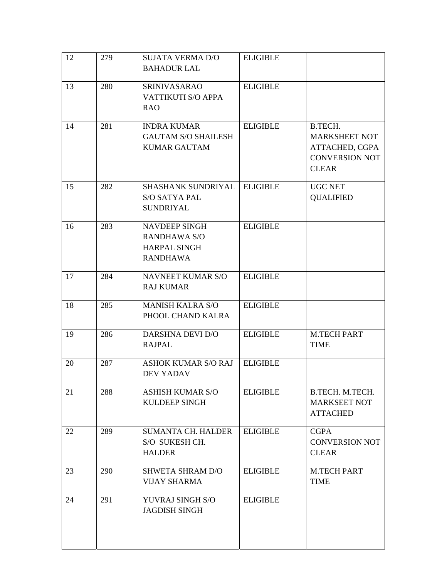| 12 | 279 | <b>SUJATA VERMA D/O</b><br><b>BAHADUR LAL</b>                                         | <b>ELIGIBLE</b> |                                                                                            |
|----|-----|---------------------------------------------------------------------------------------|-----------------|--------------------------------------------------------------------------------------------|
| 13 | 280 | <b>SRINIVASARAO</b><br><b>VATTIKUTI S/O APPA</b><br><b>RAO</b>                        | <b>ELIGIBLE</b> |                                                                                            |
| 14 | 281 | <b>INDRA KUMAR</b><br><b>GAUTAM S/O SHAILESH</b><br><b>KUMAR GAUTAM</b>               | <b>ELIGIBLE</b> | B.TECH.<br><b>MARKSHEET NOT</b><br>ATTACHED, CGPA<br><b>CONVERSION NOT</b><br><b>CLEAR</b> |
| 15 | 282 | SHASHANK SUNDRIYAL<br><b>S/O SATYA PAL</b><br><b>SUNDRIYAL</b>                        | <b>ELIGIBLE</b> | <b>UGC NET</b><br><b>QUALIFIED</b>                                                         |
| 16 | 283 | <b>NAVDEEP SINGH</b><br><b>RANDHAWA S/O</b><br><b>HARPAL SINGH</b><br><b>RANDHAWA</b> | <b>ELIGIBLE</b> |                                                                                            |
| 17 | 284 | <b>NAVNEET KUMAR S/O</b><br><b>RAJ KUMAR</b>                                          | <b>ELIGIBLE</b> |                                                                                            |
| 18 | 285 | <b>MANISH KALRA S/O</b><br>PHOOL CHAND KALRA                                          | <b>ELIGIBLE</b> |                                                                                            |
| 19 | 286 | <b>DARSHNA DEVI D/O</b><br><b>RAJPAL</b>                                              | <b>ELIGIBLE</b> | <b>M.TECH PART</b><br><b>TIME</b>                                                          |
| 20 | 287 | <b>ASHOK KUMAR S/O RAJ</b><br><b>DEV YADAV</b>                                        | <b>ELIGIBLE</b> |                                                                                            |
| 21 | 288 | <b>ASHISH KUMAR S/O</b><br><b>KULDEEP SINGH</b>                                       | <b>ELIGIBLE</b> | B.TECH. M.TECH.<br><b>MARKSEET NOT</b><br><b>ATTACHED</b>                                  |
| 22 | 289 | <b>SUMANTA CH. HALDER</b><br>S/O SUKESH CH.<br><b>HALDER</b>                          | <b>ELIGIBLE</b> | <b>CGPA</b><br><b>CONVERSION NOT</b><br><b>CLEAR</b>                                       |
| 23 | 290 | <b>SHWETA SHRAM D/O</b><br><b>VIJAY SHARMA</b>                                        | <b>ELIGIBLE</b> | <b>M.TECH PART</b><br><b>TIME</b>                                                          |
| 24 | 291 | YUVRAJ SINGH S/O<br><b>JAGDISH SINGH</b>                                              | <b>ELIGIBLE</b> |                                                                                            |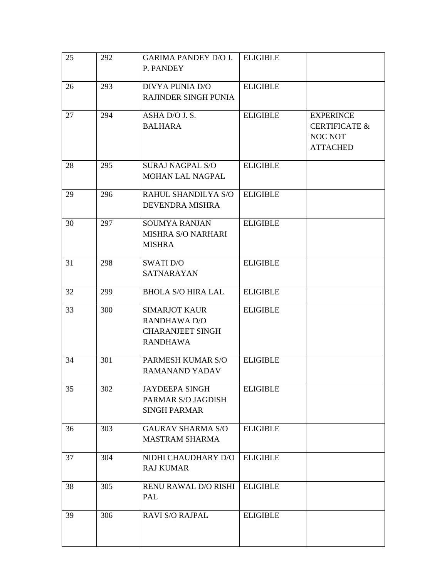| 25 | 292 | <b>GARIMA PANDEY D/O J.</b>                | <b>ELIGIBLE</b> |                            |
|----|-----|--------------------------------------------|-----------------|----------------------------|
|    |     | P. PANDEY                                  |                 |                            |
| 26 | 293 | <b>DIVYA PUNIA D/O</b>                     | <b>ELIGIBLE</b> |                            |
|    |     | <b>RAJINDER SINGH PUNIA</b>                |                 |                            |
| 27 | 294 | ASHA D/O J. S.                             | <b>ELIGIBLE</b> | <b>EXPERINCE</b>           |
|    |     | <b>BALHARA</b>                             |                 | <b>CERTIFICATE &amp;</b>   |
|    |     |                                            |                 | NOC NOT<br><b>ATTACHED</b> |
|    |     |                                            |                 |                            |
| 28 | 295 | <b>SURAJ NAGPAL S/O</b>                    | <b>ELIGIBLE</b> |                            |
|    |     | <b>MOHAN LAL NAGPAL</b>                    |                 |                            |
| 29 | 296 | RAHUL SHANDILYA S/O                        | <b>ELIGIBLE</b> |                            |
|    |     | <b>DEVENDRA MISHRA</b>                     |                 |                            |
| 30 | 297 | <b>SOUMYA RANJAN</b>                       | <b>ELIGIBLE</b> |                            |
|    |     | <b>MISHRA S/O NARHARI</b>                  |                 |                            |
|    |     | <b>MISHRA</b>                              |                 |                            |
| 31 | 298 | <b>SWATI D/O</b>                           | <b>ELIGIBLE</b> |                            |
|    |     | <b>SATNARAYAN</b>                          |                 |                            |
| 32 | 299 | <b>BHOLA S/O HIRA LAL</b>                  | <b>ELIGIBLE</b> |                            |
| 33 | 300 | <b>SIMARJOT KAUR</b>                       | <b>ELIGIBLE</b> |                            |
|    |     | <b>RANDHAWA D/O</b>                        |                 |                            |
|    |     | <b>CHARANJEET SINGH</b><br><b>RANDHAWA</b> |                 |                            |
|    |     |                                            |                 |                            |
| 34 | 301 | PARMESH KUMAR S/O                          | <b>ELIGIBLE</b> |                            |
|    |     | <b>RAMANAND YADAV</b>                      |                 |                            |
| 35 | 302 | <b>JAYDEEPA SINGH</b>                      | <b>ELIGIBLE</b> |                            |
|    |     | PARMAR S/O JAGDISH                         |                 |                            |
|    |     | <b>SINGH PARMAR</b>                        |                 |                            |
| 36 | 303 | <b>GAURAV SHARMA S/O</b>                   | <b>ELIGIBLE</b> |                            |
|    |     | <b>MASTRAM SHARMA</b>                      |                 |                            |
| 37 | 304 | NIDHI CHAUDHARY D/O                        | <b>ELIGIBLE</b> |                            |
|    |     | <b>RAJ KUMAR</b>                           |                 |                            |
| 38 | 305 | <b>RENU RAWAL D/O RISHI</b>                | <b>ELIGIBLE</b> |                            |
|    |     | PAL                                        |                 |                            |
| 39 | 306 | <b>RAVI S/O RAJPAL</b>                     | <b>ELIGIBLE</b> |                            |
|    |     |                                            |                 |                            |
|    |     |                                            |                 |                            |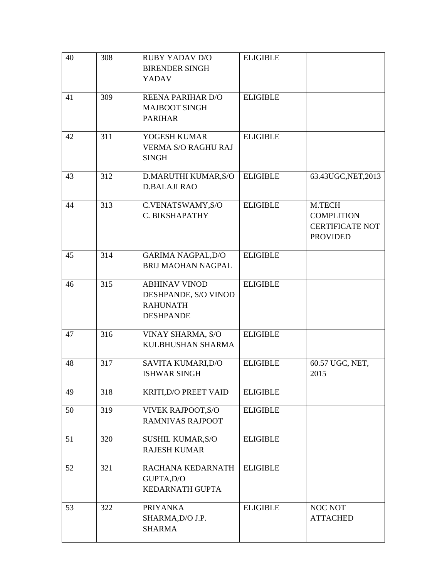| 40 | 308 | <b>RUBY YADAV D/O</b><br><b>BIRENDER SINGH</b><br>YADAV                             | <b>ELIGIBLE</b> |                                                                          |
|----|-----|-------------------------------------------------------------------------------------|-----------------|--------------------------------------------------------------------------|
| 41 | 309 | <b>REENA PARIHAR D/O</b><br><b>MAJBOOT SINGH</b><br><b>PARIHAR</b>                  | <b>ELIGIBLE</b> |                                                                          |
| 42 | 311 | YOGESH KUMAR<br><b>VERMA S/O RAGHU RAJ</b><br><b>SINGH</b>                          | <b>ELIGIBLE</b> |                                                                          |
| 43 | 312 | D.MARUTHI KUMAR, S/O<br><b>D.BALAJI RAO</b>                                         | <b>ELIGIBLE</b> | 63.43UGC, NET, 2013                                                      |
| 44 | 313 | C.VENATSWAMY, S/O<br>C. BIKSHAPATHY                                                 | <b>ELIGIBLE</b> | M.TECH<br><b>COMPLITION</b><br><b>CERTIFICATE NOT</b><br><b>PROVIDED</b> |
| 45 | 314 | <b>GARIMA NAGPAL, D/O</b><br><b>BRIJ MAOHAN NAGPAL</b>                              | <b>ELIGIBLE</b> |                                                                          |
| 46 | 315 | <b>ABHINAV VINOD</b><br>DESHPANDE, S/O VINOD<br><b>RAHUNATH</b><br><b>DESHPANDE</b> | <b>ELIGIBLE</b> |                                                                          |
| 47 | 316 | VINAY SHARMA, S/O<br>KULBHUSHAN SHARMA                                              | <b>ELIGIBLE</b> |                                                                          |
| 48 | 317 | SAVITA KUMARI, D/O<br><b>ISHWAR SINGH</b>                                           | <b>ELIGIBLE</b> | 60.57 UGC, NET,<br>2015                                                  |
| 49 | 318 | KRITI, D/O PREET VAID                                                               | <b>ELIGIBLE</b> |                                                                          |
| 50 | 319 | <b>VIVEK RAJPOOT, S/O</b><br><b>RAMNIVAS RAJPOOT</b>                                | <b>ELIGIBLE</b> |                                                                          |
| 51 | 320 | SUSHIL KUMAR, S/O<br><b>RAJESH KUMAR</b>                                            | <b>ELIGIBLE</b> |                                                                          |
| 52 | 321 | RACHANA KEDARNATH<br>GUPTA, D/O<br>KEDARNATH GUPTA                                  | <b>ELIGIBLE</b> |                                                                          |
| 53 | 322 | <b>PRIYANKA</b><br>SHARMA, D/O J.P.<br><b>SHARMA</b>                                | <b>ELIGIBLE</b> | NOC NOT<br><b>ATTACHED</b>                                               |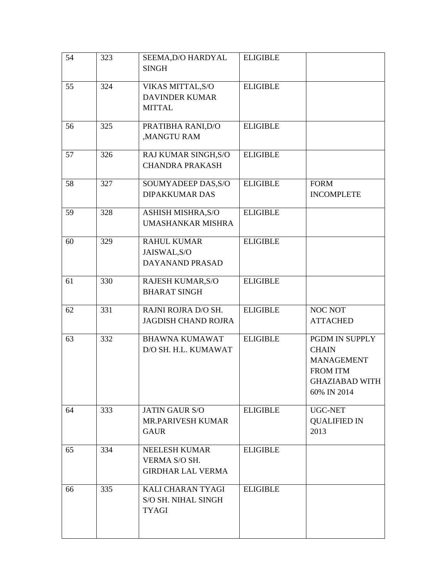| 54 | 323 | SEEMA, D/O HARDYAL         | <b>ELIGIBLE</b> |                                      |
|----|-----|----------------------------|-----------------|--------------------------------------|
|    |     | <b>SINGH</b>               |                 |                                      |
| 55 | 324 | VIKAS MITTAL, S/O          | <b>ELIGIBLE</b> |                                      |
|    |     | <b>DAVINDER KUMAR</b>      |                 |                                      |
|    |     | <b>MITTAL</b>              |                 |                                      |
| 56 | 325 | PRATIBHA RANI, D/O         | <b>ELIGIBLE</b> |                                      |
|    |     | ,MANGTU RAM                |                 |                                      |
| 57 | 326 | RAJ KUMAR SINGH, S/O       | <b>ELIGIBLE</b> |                                      |
|    |     | <b>CHANDRA PRAKASH</b>     |                 |                                      |
| 58 | 327 | SOUMYADEEP DAS, S/O        | <b>ELIGIBLE</b> | <b>FORM</b>                          |
|    |     | <b>DIPAKKUMAR DAS</b>      |                 | <b>INCOMPLETE</b>                    |
| 59 | 328 | ASHISH MISHRA, S/O         | <b>ELIGIBLE</b> |                                      |
|    |     | <b>UMASHANKAR MISHRA</b>   |                 |                                      |
| 60 | 329 | <b>RAHUL KUMAR</b>         | <b>ELIGIBLE</b> |                                      |
|    |     | JAISWAL, S/O               |                 |                                      |
|    |     | DAYANAND PRASAD            |                 |                                      |
| 61 | 330 | RAJESH KUMAR, S/O          | <b>ELIGIBLE</b> |                                      |
|    |     | <b>BHARAT SINGH</b>        |                 |                                      |
| 62 | 331 | RAJNI ROJRA D/O SH.        | <b>ELIGIBLE</b> | <b>NOC NOT</b>                       |
|    |     | <b>JAGDISH CHAND ROJRA</b> |                 | <b>ATTACHED</b>                      |
| 63 | 332 | <b>BHAWNA KUMAWAT</b>      | <b>ELIGIBLE</b> | PGDM IN SUPPLY                       |
|    |     | D/O SH. H.L. KUMAWAT       |                 | <b>CHAIN</b>                         |
|    |     |                            |                 | <b>MANAGEMENT</b><br><b>FROM ITM</b> |
|    |     |                            |                 | <b>GHAZIABAD WITH</b>                |
|    |     |                            |                 | 60% IN 2014                          |
| 64 | 333 | <b>JATIN GAUR S/O</b>      | <b>ELIGIBLE</b> | UGC-NET                              |
|    |     | <b>MR.PARIVESH KUMAR</b>   |                 | <b>QUALIFIED IN</b>                  |
|    |     | <b>GAUR</b>                |                 | 2013                                 |
| 65 | 334 | NEELESH KUMAR              | <b>ELIGIBLE</b> |                                      |
|    |     | VERMA S/O SH.              |                 |                                      |
|    |     | <b>GIRDHAR LAL VERMA</b>   |                 |                                      |
| 66 | 335 | KALI CHARAN TYAGI          | <b>ELIGIBLE</b> |                                      |
|    |     | S/O SH. NIHAL SINGH        |                 |                                      |
|    |     | <b>TYAGI</b>               |                 |                                      |
|    |     |                            |                 |                                      |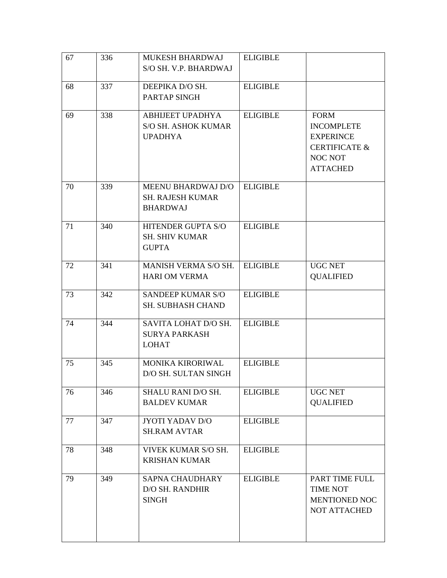| 67 | 336 | MUKESH BHARDWAJ<br>S/O SH. V.P. BHARDWAJ                                | <b>ELIGIBLE</b> |                                                                                                                       |
|----|-----|-------------------------------------------------------------------------|-----------------|-----------------------------------------------------------------------------------------------------------------------|
| 68 | 337 | DEEPIKA D/O SH.<br>PARTAP SINGH                                         | <b>ELIGIBLE</b> |                                                                                                                       |
| 69 | 338 | <b>ABHIJEET UPADHYA</b><br><b>S/O SH. ASHOK KUMAR</b><br><b>UPADHYA</b> | <b>ELIGIBLE</b> | <b>FORM</b><br><b>INCOMPLETE</b><br><b>EXPERINCE</b><br><b>CERTIFICATE &amp;</b><br><b>NOC NOT</b><br><b>ATTACHED</b> |
| 70 | 339 | MEENU BHARDWAJ D/O<br><b>SH. RAJESH KUMAR</b><br><b>BHARDWAJ</b>        | <b>ELIGIBLE</b> |                                                                                                                       |
| 71 | 340 | HITENDER GUPTA S/O<br><b>SH. SHIV KUMAR</b><br><b>GUPTA</b>             | <b>ELIGIBLE</b> |                                                                                                                       |
| 72 | 341 | MANISH VERMA S/O SH.<br><b>HARI OM VERMA</b>                            | <b>ELIGIBLE</b> | <b>UGC NET</b><br><b>QUALIFIED</b>                                                                                    |
| 73 | 342 | <b>SANDEEP KUMAR S/O</b><br><b>SH. SUBHASH CHAND</b>                    | <b>ELIGIBLE</b> |                                                                                                                       |
| 74 | 344 | SAVITA LOHAT D/O SH.<br><b>SURYA PARKASH</b><br><b>LOHAT</b>            | <b>ELIGIBLE</b> |                                                                                                                       |
| 75 | 345 | MONIKA KIRORIWAL<br>D/O SH. SULTAN SINGH                                | <b>ELIGIBLE</b> |                                                                                                                       |
| 76 | 346 | SHALU RANI D/O SH.<br><b>BALDEV KUMAR</b>                               | <b>ELIGIBLE</b> | <b>UGC NET</b><br><b>QUALIFIED</b>                                                                                    |
| 77 | 347 | JYOTI YADAV D/O<br><b>SH.RAM AVTAR</b>                                  | <b>ELIGIBLE</b> |                                                                                                                       |
| 78 | 348 | VIVEK KUMAR S/O SH.<br><b>KRISHAN KUMAR</b>                             | <b>ELIGIBLE</b> |                                                                                                                       |
| 79 | 349 | <b>SAPNA CHAUDHARY</b><br><b>D/O SH. RANDHIR</b><br><b>SINGH</b>        | <b>ELIGIBLE</b> | PART TIME FULL<br><b>TIME NOT</b><br>MENTIONED NOC<br>NOT ATTACHED                                                    |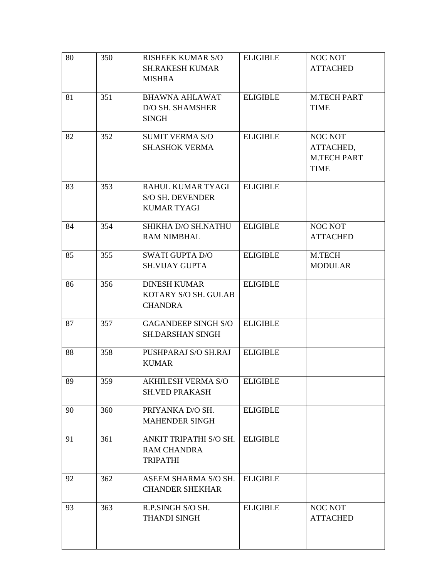| 80 | 350 | <b>RISHEEK KUMAR S/O</b><br><b>SH.RAKESH KUMAR</b><br><b>MISHRA</b> | <b>ELIGIBLE</b> | NOC NOT<br><b>ATTACHED</b>                         |
|----|-----|---------------------------------------------------------------------|-----------------|----------------------------------------------------|
| 81 | 351 | <b>BHAWNA AHLAWAT</b><br>D/O SH. SHAMSHER<br><b>SINGH</b>           | <b>ELIGIBLE</b> | <b>M.TECH PART</b><br><b>TIME</b>                  |
| 82 | 352 | <b>SUMIT VERMA S/O</b><br><b>SH.ASHOK VERMA</b>                     | <b>ELIGIBLE</b> | NOC NOT<br>ATTACHED,<br><b>M.TECH PART</b><br>TIME |
| 83 | 353 | RAHUL KUMAR TYAGI<br><b>S/O SH. DEVENDER</b><br><b>KUMAR TYAGI</b>  | <b>ELIGIBLE</b> |                                                    |
| 84 | 354 | SHIKHA D/O SH.NATHU<br><b>RAM NIMBHAL</b>                           | <b>ELIGIBLE</b> | NOC NOT<br><b>ATTACHED</b>                         |
| 85 | 355 | <b>SWATI GUPTA D/O</b><br><b>SH.VIJAY GUPTA</b>                     | <b>ELIGIBLE</b> | M.TECH<br><b>MODULAR</b>                           |
| 86 | 356 | <b>DINESH KUMAR</b><br>KOTARY S/O SH. GULAB<br><b>CHANDRA</b>       | <b>ELIGIBLE</b> |                                                    |
| 87 | 357 | <b>GAGANDEEP SINGH S/O</b><br><b>SH.DARSHAN SINGH</b>               | <b>ELIGIBLE</b> |                                                    |
| 88 | 358 | PUSHPARAJ S/O SH.RAJ<br><b>KUMAR</b>                                | <b>ELIGIBLE</b> |                                                    |
| 89 | 359 | AKHILESH VERMA S/O   ELIGIBLE<br><b>SH.VED PRAKASH</b>              |                 |                                                    |
| 90 | 360 | PRIYANKA D/O SH.<br><b>MAHENDER SINGH</b>                           | <b>ELIGIBLE</b> |                                                    |
| 91 | 361 | ANKIT TRIPATHI S/O SH.<br><b>RAM CHANDRA</b><br><b>TRIPATHI</b>     | <b>ELIGIBLE</b> |                                                    |
| 92 | 362 | ASEEM SHARMA S/O SH.<br><b>CHANDER SHEKHAR</b>                      | <b>ELIGIBLE</b> |                                                    |
| 93 | 363 | R.P.SINGH S/O SH.<br><b>THANDI SINGH</b>                            | <b>ELIGIBLE</b> | NOC NOT<br><b>ATTACHED</b>                         |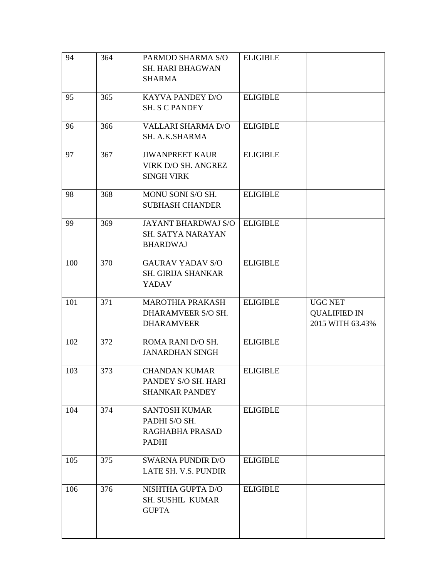| 94  | 364 | PARMOD SHARMA S/O          | <b>ELIGIBLE</b> |                     |
|-----|-----|----------------------------|-----------------|---------------------|
|     |     | <b>SH. HARI BHAGWAN</b>    |                 |                     |
|     |     | SHARMA                     |                 |                     |
|     |     |                            |                 |                     |
| 95  | 365 | KAYVA PANDEY D/O           | <b>ELIGIBLE</b> |                     |
|     |     | <b>SH. S C PANDEY</b>      |                 |                     |
|     |     |                            |                 |                     |
| 96  | 366 | <b>VALLARI SHARMA D/O</b>  | <b>ELIGIBLE</b> |                     |
|     |     | SH. A.K.SHARMA             |                 |                     |
| 97  | 367 | <b>JIWANPREET KAUR</b>     | <b>ELIGIBLE</b> |                     |
|     |     | VIRK D/O SH. ANGREZ        |                 |                     |
|     |     | <b>SINGH VIRK</b>          |                 |                     |
|     |     |                            |                 |                     |
| 98  | 368 | MONU SONI S/O SH.          | <b>ELIGIBLE</b> |                     |
|     |     | <b>SUBHASH CHANDER</b>     |                 |                     |
|     |     |                            |                 |                     |
| 99  | 369 | <b>JAYANT BHARDWAJ S/O</b> | <b>ELIGIBLE</b> |                     |
|     |     | <b>SH. SATYA NARAYAN</b>   |                 |                     |
|     |     | <b>BHARDWAJ</b>            |                 |                     |
| 100 | 370 | <b>GAURAV YADAV S/O</b>    | <b>ELIGIBLE</b> |                     |
|     |     | <b>SH. GIRIJA SHANKAR</b>  |                 |                     |
|     |     | <b>YADAV</b>               |                 |                     |
|     |     |                            |                 |                     |
| 101 | 371 | <b>MAROTHIA PRAKASH</b>    | <b>ELIGIBLE</b> | <b>UGC NET</b>      |
|     |     | DHARAMVEER S/O SH.         |                 | <b>QUALIFIED IN</b> |
|     |     | <b>DHARAMVEER</b>          |                 | 2015 WITH 63.43%    |
|     |     |                            |                 |                     |
| 102 | 372 | ROMA RANI D/O SH.          | <b>ELIGIBLE</b> |                     |
|     |     | <b>JANARDHAN SINGH</b>     |                 |                     |
| 103 | 373 | <b>CHANDAN KUMAR</b>       | <b>ELIGIBLE</b> |                     |
|     |     | PANDEY S/O SH. HARI        |                 |                     |
|     |     | <b>SHANKAR PANDEY</b>      |                 |                     |
|     |     |                            |                 |                     |
| 104 | 374 | <b>SANTOSH KUMAR</b>       | <b>ELIGIBLE</b> |                     |
|     |     | PADHI S/O SH.              |                 |                     |
|     |     | RAGHABHA PRASAD            |                 |                     |
|     |     | <b>PADHI</b>               |                 |                     |
|     |     |                            |                 |                     |
| 105 | 375 | <b>SWARNA PUNDIR D/O</b>   | <b>ELIGIBLE</b> |                     |
|     |     | LATE SH. V.S. PUNDIR       |                 |                     |
| 106 | 376 | NISHTHA GUPTA D/O          | <b>ELIGIBLE</b> |                     |
|     |     | <b>SH. SUSHIL KUMAR</b>    |                 |                     |
|     |     | <b>GUPTA</b>               |                 |                     |
|     |     |                            |                 |                     |
|     |     |                            |                 |                     |
|     |     |                            |                 |                     |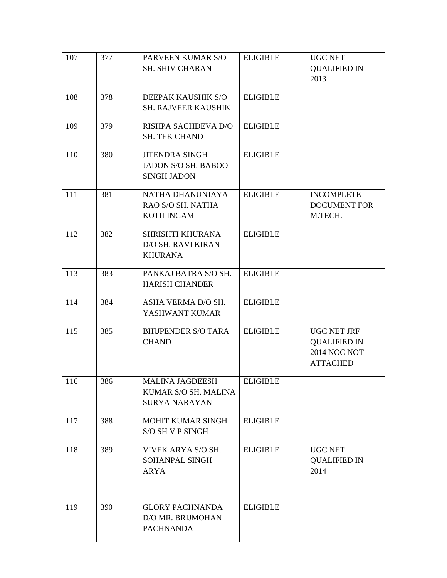| <b>ELIGIBLE</b><br><b>UGC NET</b>    |
|--------------------------------------|
| <b>QUALIFIED IN</b>                  |
| 2013                                 |
|                                      |
| <b>ELIGIBLE</b>                      |
|                                      |
|                                      |
| <b>ELIGIBLE</b>                      |
|                                      |
| <b>ELIGIBLE</b>                      |
|                                      |
|                                      |
|                                      |
| <b>ELIGIBLE</b><br><b>INCOMPLETE</b> |
| <b>DOCUMENT FOR</b>                  |
| M.TECH.                              |
|                                      |
| <b>ELIGIBLE</b>                      |
|                                      |
|                                      |
|                                      |
| <b>ELIGIBLE</b>                      |
|                                      |
| <b>ELIGIBLE</b>                      |
|                                      |
|                                      |
| UGC NET JRF<br><b>ELIGIBLE</b>       |
| <b>QUALIFIED IN</b>                  |
| <b>2014 NOC NOT</b>                  |
| <b>ATTACHED</b>                      |
|                                      |
| <b>ELIGIBLE</b>                      |
|                                      |
|                                      |
| <b>ELIGIBLE</b>                      |
|                                      |
|                                      |
| <b>UGC NET</b><br><b>ELIGIBLE</b>    |
| <b>QUALIFIED IN</b>                  |
| 2014                                 |
|                                      |
|                                      |
|                                      |
|                                      |
|                                      |
|                                      |
| <b>ELIGIBLE</b>                      |
|                                      |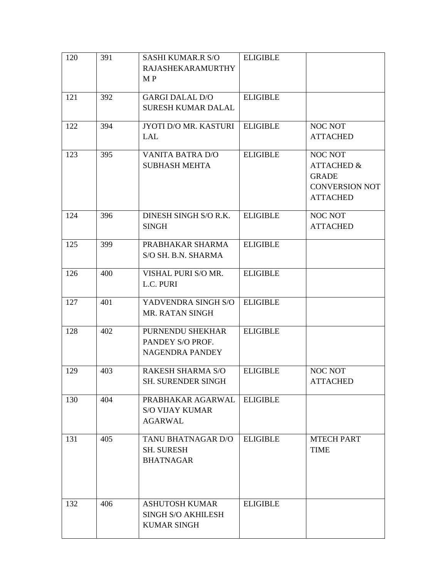| 120 | 391 | <b>SASHI KUMAR.R S/O</b><br><b>RAJASHEKARAMURTHY</b><br>M P       | <b>ELIGIBLE</b> |                                                                                              |
|-----|-----|-------------------------------------------------------------------|-----------------|----------------------------------------------------------------------------------------------|
| 121 | 392 | <b>GARGI DALAL D/O</b><br>SURESH KUMAR DALAL                      | <b>ELIGIBLE</b> |                                                                                              |
| 122 | 394 | JYOTI D/O MR. KASTURI<br>LAL                                      | <b>ELIGIBLE</b> | <b>NOC NOT</b><br><b>ATTACHED</b>                                                            |
| 123 | 395 | <b>VANITA BATRA D/O</b><br><b>SUBHASH MEHTA</b>                   | <b>ELIGIBLE</b> | NOC NOT<br><b>ATTACHED &amp;</b><br><b>GRADE</b><br><b>CONVERSION NOT</b><br><b>ATTACHED</b> |
| 124 | 396 | DINESH SINGH S/O R.K.<br><b>SINGH</b>                             | <b>ELIGIBLE</b> | NOC NOT<br><b>ATTACHED</b>                                                                   |
| 125 | 399 | PRABHAKAR SHARMA<br>S/O SH. B.N. SHARMA                           | <b>ELIGIBLE</b> |                                                                                              |
| 126 | 400 | VISHAL PURI S/O MR.<br>L.C. PURI                                  | <b>ELIGIBLE</b> |                                                                                              |
| 127 | 401 | YADVENDRA SINGH S/O<br>MR. RATAN SINGH                            | <b>ELIGIBLE</b> |                                                                                              |
| 128 | 402 | PURNENDU SHEKHAR<br>PANDEY S/O PROF.<br><b>NAGENDRA PANDEY</b>    | <b>ELIGIBLE</b> |                                                                                              |
| 129 | 403 | <b>RAKESH SHARMA S/O</b><br>SH. SURENDER SINGH                    | <b>ELIGIBLE</b> | <b>NOC NOT</b><br><b>ATTACHED</b>                                                            |
| 130 | 404 | PRABHAKAR AGARWAL<br><b>S/O VIJAY KUMAR</b><br>AGARWAL            | <b>ELIGIBLE</b> |                                                                                              |
| 131 | 405 | TANU BHATNAGAR D/O<br><b>SH. SURESH</b><br><b>BHATNAGAR</b>       | <b>ELIGIBLE</b> | <b>MTECH PART</b><br><b>TIME</b>                                                             |
| 132 | 406 | ASHUTOSH KUMAR<br><b>SINGH S/O AKHILESH</b><br><b>KUMAR SINGH</b> | <b>ELIGIBLE</b> |                                                                                              |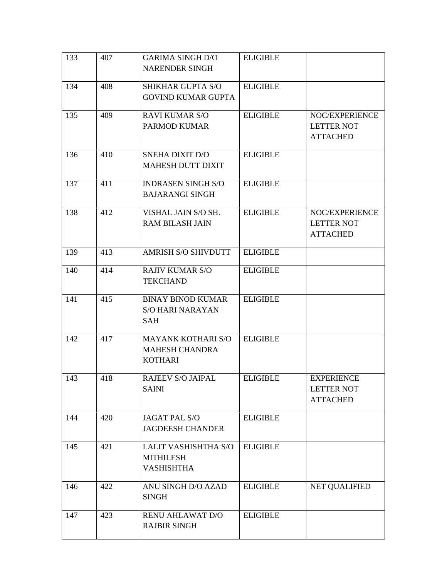| 133 | 407 | <b>GARIMA SINGH D/O</b>                         | <b>ELIGIBLE</b> |                                        |
|-----|-----|-------------------------------------------------|-----------------|----------------------------------------|
|     |     | <b>NARENDER SINGH</b>                           |                 |                                        |
| 134 | 408 | <b>SHIKHAR GUPTA S/O</b>                        | <b>ELIGIBLE</b> |                                        |
|     |     | <b>GOVIND KUMAR GUPTA</b>                       |                 |                                        |
| 135 | 409 | <b>RAVI KUMAR S/O</b>                           | <b>ELIGIBLE</b> | NOC/EXPERIENCE                         |
|     |     | PARMOD KUMAR                                    |                 | <b>LETTER NOT</b>                      |
|     |     |                                                 |                 | <b>ATTACHED</b>                        |
| 136 | 410 | <b>SNEHA DIXIT D/O</b>                          | <b>ELIGIBLE</b> |                                        |
|     |     | <b>MAHESH DUTT DIXIT</b>                        |                 |                                        |
| 137 | 411 | <b>INDRASEN SINGH S/O</b>                       | <b>ELIGIBLE</b> |                                        |
|     |     | <b>BAJARANGI SINGH</b>                          |                 |                                        |
| 138 | 412 | VISHAL JAIN S/O SH.                             | <b>ELIGIBLE</b> | NOC/EXPERIENCE                         |
|     |     | <b>RAM BILASH JAIN</b>                          |                 | <b>LETTER NOT</b>                      |
|     |     |                                                 |                 | <b>ATTACHED</b>                        |
| 139 | 413 | <b>AMRISH S/O SHIVDUTT</b>                      | <b>ELIGIBLE</b> |                                        |
| 140 | 414 | <b>RAJIV KUMAR S/O</b>                          | <b>ELIGIBLE</b> |                                        |
|     |     | <b>TEKCHAND</b>                                 |                 |                                        |
| 141 | 415 | <b>BINAY BINOD KUMAR</b>                        | <b>ELIGIBLE</b> |                                        |
|     |     | <b>S/O HARI NARAYAN</b>                         |                 |                                        |
|     |     | SAH                                             |                 |                                        |
| 142 | 417 | MAYANK KOTHARI S/O                              | <b>ELIGIBLE</b> |                                        |
|     |     | <b>MAHESH CHANDRA</b><br><b>KOTHARI</b>         |                 |                                        |
|     |     |                                                 |                 |                                        |
| 143 | 418 | RAJEEV S/O JAIPAL<br><b>SAINI</b>               | <b>ELIGIBLE</b> | <b>EXPERIENCE</b><br><b>LETTER NOT</b> |
|     |     |                                                 |                 | <b>ATTACHED</b>                        |
|     |     |                                                 |                 |                                        |
| 144 | 420 | <b>JAGAT PAL S/O</b><br><b>JAGDEESH CHANDER</b> | <b>ELIGIBLE</b> |                                        |
|     |     |                                                 |                 |                                        |
| 145 | 421 | LALIT VASHISHTHA S/O<br><b>MITHILESH</b>        | <b>ELIGIBLE</b> |                                        |
|     |     | <b>VASHISHTHA</b>                               |                 |                                        |
|     |     |                                                 |                 |                                        |
| 146 | 422 | ANU SINGH D/O AZAD<br><b>SINGH</b>              | <b>ELIGIBLE</b> | <b>NET QUALIFIED</b>                   |
|     |     |                                                 |                 |                                        |
| 147 | 423 | <b>RENU AHLAWAT D/O</b>                         | <b>ELIGIBLE</b> |                                        |
|     |     | <b>RAJBIR SINGH</b>                             |                 |                                        |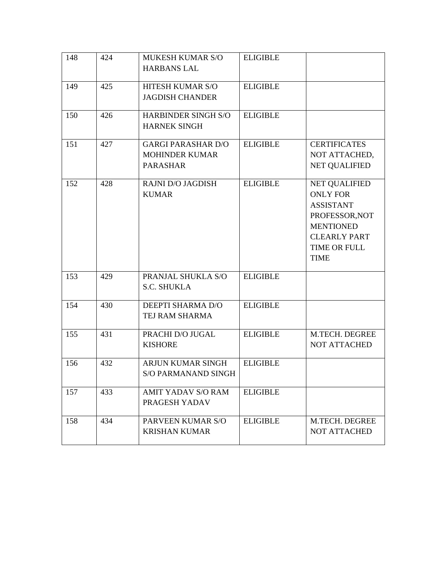| 148 | 424 | MUKESH KUMAR S/O<br><b>HARBANS LAL</b>                                | <b>ELIGIBLE</b> |                                                                                                                                                         |
|-----|-----|-----------------------------------------------------------------------|-----------------|---------------------------------------------------------------------------------------------------------------------------------------------------------|
| 149 | 425 | HITESH KUMAR S/O<br><b>JAGDISH CHANDER</b>                            | <b>ELIGIBLE</b> |                                                                                                                                                         |
| 150 | 426 | HARBINDER SINGH S/O<br><b>HARNEK SINGH</b>                            | <b>ELIGIBLE</b> |                                                                                                                                                         |
| 151 | 427 | <b>GARGI PARASHAR D/O</b><br><b>MOHINDER KUMAR</b><br><b>PARASHAR</b> | <b>ELIGIBLE</b> | <b>CERTIFICATES</b><br>NOT ATTACHED,<br><b>NET QUALIFIED</b>                                                                                            |
| 152 | 428 | <b>RAJNI D/O JAGDISH</b><br><b>KUMAR</b>                              | <b>ELIGIBLE</b> | <b>NET QUALIFIED</b><br><b>ONLY FOR</b><br><b>ASSISTANT</b><br>PROFESSOR, NOT<br><b>MENTIONED</b><br><b>CLEARLY PART</b><br>TIME OR FULL<br><b>TIME</b> |
| 153 | 429 | PRANJAL SHUKLA S/O<br><b>S.C. SHUKLA</b>                              | <b>ELIGIBLE</b> |                                                                                                                                                         |
| 154 | 430 | DEEPTI SHARMA D/O<br>TEJ RAM SHARMA                                   | <b>ELIGIBLE</b> |                                                                                                                                                         |
| 155 | 431 | PRACHI D/O JUGAL<br><b>KISHORE</b>                                    | <b>ELIGIBLE</b> | M.TECH. DEGREE<br>NOT ATTACHED                                                                                                                          |
| 156 | 432 | <b>ARJUN KUMAR SINGH</b><br><b>S/O PARMANAND SINGH</b>                | <b>ELIGIBLE</b> |                                                                                                                                                         |
| 157 | 433 | <b>AMIT YADAV S/O RAM</b><br>PRAGESH YADAV                            | <b>ELIGIBLE</b> |                                                                                                                                                         |
| 158 | 434 | PARVEEN KUMAR S/O<br><b>KRISHAN KUMAR</b>                             | <b>ELIGIBLE</b> | M.TECH. DEGREE<br><b>NOT ATTACHED</b>                                                                                                                   |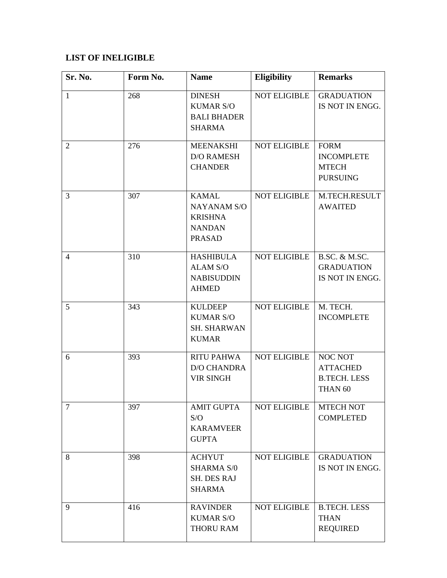## **LIST OF INELIGIBLE**

| Sr. No.        | Form No. | <b>Name</b>                                                                            | <b>Eligibility</b>  | <b>Remarks</b>                                                          |
|----------------|----------|----------------------------------------------------------------------------------------|---------------------|-------------------------------------------------------------------------|
| $\mathbf{1}$   | 268      | <b>DINESH</b><br><b>KUMAR S/O</b><br><b>BALI BHADER</b><br><b>SHARMA</b>               | <b>NOT ELIGIBLE</b> | <b>GRADUATION</b><br>IS NOT IN ENGG.                                    |
| 2              | 276      | <b>MEENAKSHI</b><br><b>D/O RAMESH</b><br><b>CHANDER</b>                                | <b>NOT ELIGIBLE</b> | <b>FORM</b><br><b>INCOMPLETE</b><br><b>MTECH</b><br><b>PURSUING</b>     |
| 3              | 307      | <b>KAMAL</b><br><b>NAYANAM S/O</b><br><b>KRISHNA</b><br><b>NANDAN</b><br><b>PRASAD</b> | <b>NOT ELIGIBLE</b> | M.TECH.RESULT<br><b>AWAITED</b>                                         |
| $\overline{4}$ | 310      | <b>HASHIBULA</b><br><b>ALAM S/O</b><br><b>NABISUDDIN</b><br><b>AHMED</b>               | <b>NOT ELIGIBLE</b> | <b>B.SC. &amp; M.SC.</b><br><b>GRADUATION</b><br>IS NOT IN ENGG.        |
| 5              | 343      | <b>KULDEEP</b><br><b>KUMAR S/O</b><br><b>SH. SHARWAN</b><br><b>KUMAR</b>               | <b>NOT ELIGIBLE</b> | M. TECH.<br><b>INCOMPLETE</b>                                           |
| 6              | 393      | <b>RITU PAHWA</b><br><b>D/O CHANDRA</b><br><b>VIR SINGH</b>                            | NOT ELIGIBLE        | NOC NOT<br><b>ATTACHED</b><br><b>B.TECH. LESS</b><br>THAN <sub>60</sub> |
| $\tau$         | 397      | <b>AMIT GUPTA</b><br>S/O<br><b>KARAMVEER</b><br><b>GUPTA</b>                           | <b>NOT ELIGIBLE</b> | <b>MTECH NOT</b><br><b>COMPLETED</b>                                    |
| 8              | 398      | <b>ACHYUT</b><br><b>SHARMA S/0</b><br><b>SH. DES RAJ</b><br><b>SHARMA</b>              | <b>NOT ELIGIBLE</b> | <b>GRADUATION</b><br>IS NOT IN ENGG.                                    |
| 9              | 416      | <b>RAVINDER</b><br><b>KUMAR S/O</b><br>THORU RAM                                       | <b>NOT ELIGIBLE</b> | <b>B.TECH. LESS</b><br><b>THAN</b><br><b>REQUIRED</b>                   |